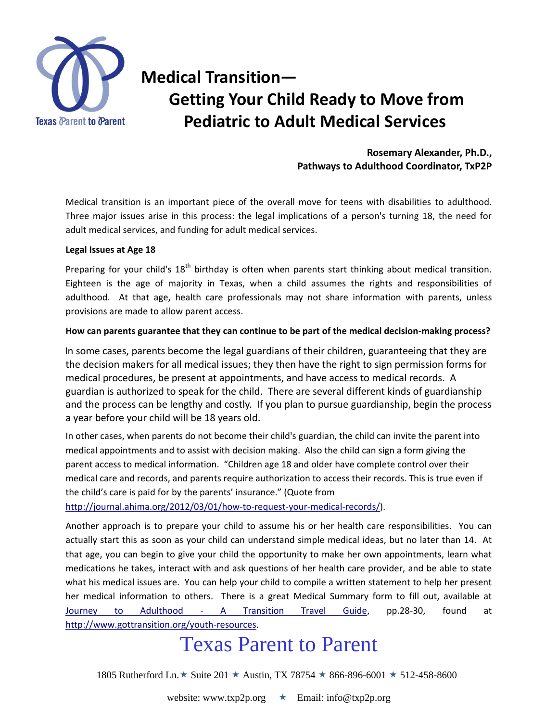

### **Medical Transition— Getting Your Child Ready to Move from Pediatric to Adult Medical Services**

**Rosemary Alexander, Ph.D., Pathways to Adulthood Coordinator, TxP2P**

Medical transition is an important piece of the overall move for teens with disabilities to adulthood. Three major issues arise in this process: the legal implications of a person's turning 18, the need for adult medical services, and funding for adult medical services.

### **Legal Issues at Age 18**

Preparing for your child's  $18<sup>th</sup>$  birthday is often when parents start thinking about medical transition. Eighteen is the age of majority in Texas, when a child assumes the rights and responsibilities of adulthood. At that age, health care professionals may not share information with parents, unless provisions are made to allow parent access.

### **How can parents guarantee that they can continue to be part of the medical decision-making process?**

In some cases, parents become the legal guardians of their children, guaranteeing that they are the decision makers for all medical issues; they then have the right to sign permission forms for medical procedures, be present at appointments, and have access to medical records. A guardian is authorized to speak for the child. There are several different kinds of guardianship and the process can be lengthy and costly. If you plan to pursue guardianship, begin the process a year before your child will be 18 years old.

In other cases, when parents do not become their child's guardian, the child can invite the parent into medical appointments and to assist with decision making. Also the child can sign a form giving the parent access to medical information. "Children age 18 and older have complete control over their medical care and records, and parents require authorization to access their records. This is true even if the child's care is paid for by the parents' insurance." (Quote from

[http://journal.ahima.org/2012/03/01/how-to-request-your-medical-records/\)](http://journal.ahima.org/2012/03/01/how-to-request-your-medical-records/).

Another approach is to prepare your child to assume his or her health care responsibilities. You can actually start this as soon as your child can understand simple medical ideas, but no later than 14. At that age, you can begin to give your child the opportunity to make her own appointments, learn what medications he takes, interact with and ask questions of her health care provider, and be able to state what his medical issues are. You can help your child to compile a written statement to help her present her medical information to others. There is a great Medical Summary form to fill out, available at Journey to Adulthood - [A Transition Travel Guide,](http://www.gottransition.org/UploadedFiles/Document/21/Journey_to_Adulthood_Dec_2011Greencovers101pages.pdf#_blank) pp.28-30, found at [http://www.gottransition.org/youth-resources.](http://www.gottransition.org/youth-resources)

## Texas Parent to Parent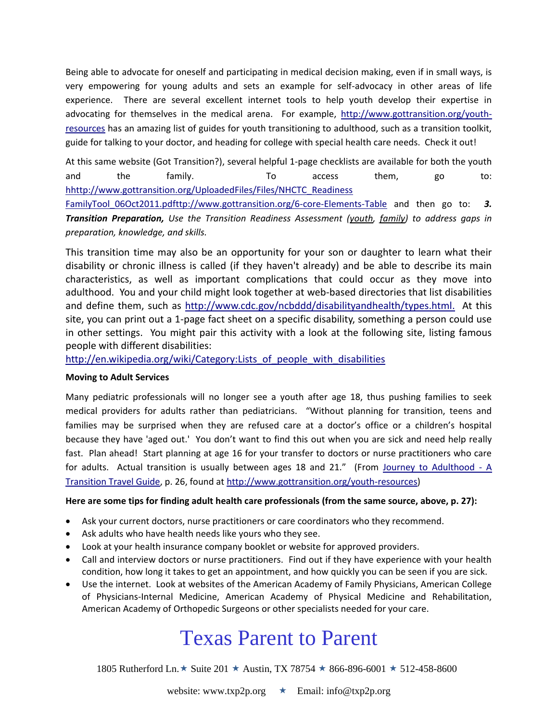Being able to advocate for oneself and participating in medical decision making, even if in small ways, is very empowering for young adults and sets an example for self-advocacy in other areas of life experience. There are several excellent internet tools to help youth develop their expertise in advocating for themselves in the medical arena. For example, [http://www.gottransition.org/youth](http://www.gottransition.org/youth-resources)[resources](http://www.gottransition.org/youth-resources) has an amazing list of guides for youth transitioning to adulthood, such as a transition toolkit, guide for talking to your doctor, and heading for college with special health care needs. Check it out!

At this same website (Got Transition?), several helpful 1-page checklists are available for both the youth and the family. To access them, go to: [hhttp://www.gottransition.org/UploadedFiles/Files/NHCTC\\_Readiness](http://www.gottransition.org/6-core-Elements-Table)  [FamilyTool\\_06Oct2011.pdft](http://www.gottransition.org/6-core-Elements-Table)tp://www.gottransition.org/6-core-Elements-Table and then go to: *3. Transition Preparation, Use the Transition Readiness Assessment [\(youth,](http://www.gottransition.org/UploadedFiles/Files/NHCTC_ReadinessYouthTool_06_Oct_2011.pdf#_blank) [family\)](http://www.gottransition.org/UploadedFiles/Files/NHCTC_ReadinessFamilyTool_06Oct2011.pdf#_blank) to address gaps in preparation, knowledge, and skills.*

This transition time may also be an opportunity for your son or daughter to learn what their disability or chronic illness is called (if they haven't already) and be able to describe its main characteristics, as well as important complications that could occur as they move into adulthood. You and your child might look together at web-based directories that list disabilities and define them, such as [http://www.cdc.gov/ncbddd/disabilityandhealth/types.html.](http://www.cdc.gov/ncbddd/disabilityandhealth/types.html) At this site, you can print out a 1-page fact sheet on a specific disability, something a person could use in other settings. You might pair this activity with a look at the following site, listing famous people with different disabilities:

[http://en.wikipedia.org/wiki/Category:Lists\\_of\\_people\\_with\\_disabilities](http://en.wikipedia.org/wiki/Category:Lists_of_people_with_disabilities)

### **Moving to Adult Services**

Many pediatric professionals will no longer see a youth after age 18, thus pushing families to seek medical providers for adults rather than pediatricians. "Without planning for transition, teens and families may be surprised when they are refused care at a doctor's office or a children's hospital because they have 'aged out.' You don't want to find this out when you are sick and need help really fast. Plan ahead! Start planning at age 16 for your transfer to doctors or nurse practitioners who care for adults. Actual transition is usually between ages 18 and 21." (From [Journey to Adulthood -](http://www.gottransition.org/UploadedFiles/Document/21/Journey_to_Adulthood_Dec_2011Greencovers101pages.pdf#_blank) A [Transition Travel Guide,](http://www.gottransition.org/UploadedFiles/Document/21/Journey_to_Adulthood_Dec_2011Greencovers101pages.pdf#_blank) p. 26, found at [http://www.gottransition.org/youth-resources\)](http://www.gottransition.org/youth-resources)

### **Here are some tips for finding adult health care professionals (from the same source, above, p. 27):**

- Ask your current doctors, nurse practitioners or care coordinators who they recommend.
- Ask adults who have health needs like yours who they see.
- Look at your health insurance company booklet or website for approved providers.
- Call and interview doctors or nurse practitioners. Find out if they have experience with your health condition, how long it takes to get an appointment, and how quickly you can be seen if you are sick.
- Use the internet. Look at websites of the American Academy of Family Physicians, American College of Physicians-Internal Medicine, American Academy of Physical Medicine and Rehabilitation, American Academy of Orthopedic Surgeons or other specialists needed for your care.

# Texas Parent to Parent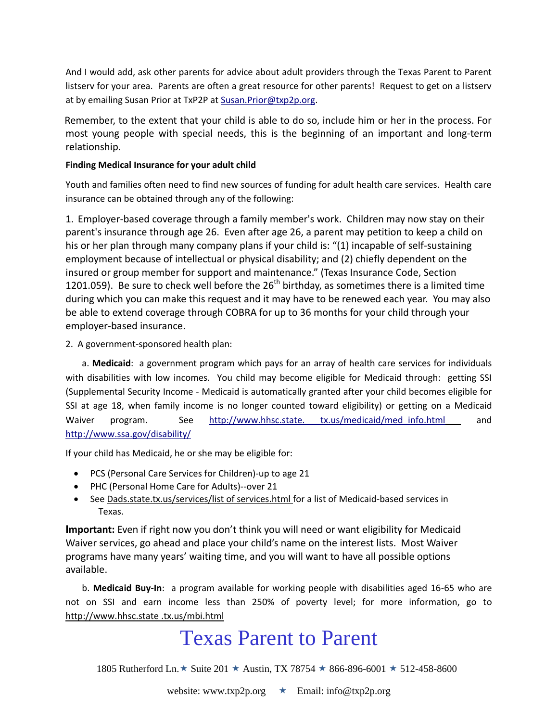And I would add, ask other parents for advice about adult providers through the Texas Parent to Parent listserv for your area. Parents are often a great resource for other parents! Request to get on a listserv at by emailing Susan Prior at TxP2P at [Susan.Prior@txp2p.org.](mailto:Susan.Prior@txp2p.org)

Remember, to the extent that your child is able to do so, include him or her in the process. For most young people with special needs, this is the beginning of an important and long-term relationship.

### **Finding Medical Insurance for your adult child**

Youth and families often need to find new sources of funding for adult health care services. Health care insurance can be obtained through any of the following:

1. Employer-based coverage through a family member's work. Children may now stay on their parent's insurance through age 26. Even after age 26, a parent may petition to keep a child on his or her plan through many company plans if your child is: "(1) incapable of self-sustaining employment because of intellectual or physical disability; and (2) chiefly dependent on the insured or group member for support and maintenance." (Texas Insurance Code, Section 1201.059). Be sure to check well before the  $26<sup>th</sup>$  birthday, as sometimes there is a limited time during which you can make this request and it may have to be renewed each year. You may also be able to extend coverage through COBRA for up to 36 months for your child through your employer-based insurance.

2. A government-sponsored health plan:

a. **Medicaid**: a government program which pays for an array of health care services for individuals with disabilities with low incomes. You child may become eligible for Medicaid through: getting SSI (Supplemental Security Income - Medicaid is automatically granted after your child becomes eligible for SSI at age 18, when family income is no longer counted toward eligibility) or getting on a Medicaid Waiver program. See http://www.hhsc.state. [tx.us/medicaid/med\\_info.html](http://www.hhsc.state.tx.us/medicaid/med_info.html) and <http://www.ssa.gov/disability/>

If your child has Medicaid, he or she may be eligible for:

- PCS (Personal Care Services for Children)-up to age 21
- PHC (Personal Home Care for Adults)--over 21
- See Dads.state.tx.us/services/list of services.html for a list of Medicaid-based services in Texas.

**Important:** Even if right now you don't think you will need or want eligibility for Medicaid Waiver services, go ahead and place your child's name on the interest lists. Most Waiver programs have many years' waiting time, and you will want to have all possible options available.

b. **Medicaid Buy-In**: a program available for working people with disabilities aged 16-65 who are not on SSI and earn income less than 250% of poverty level; for more information, go to http://www.hhsc.state .tx.us/mbi.html

# Texas Parent to Parent